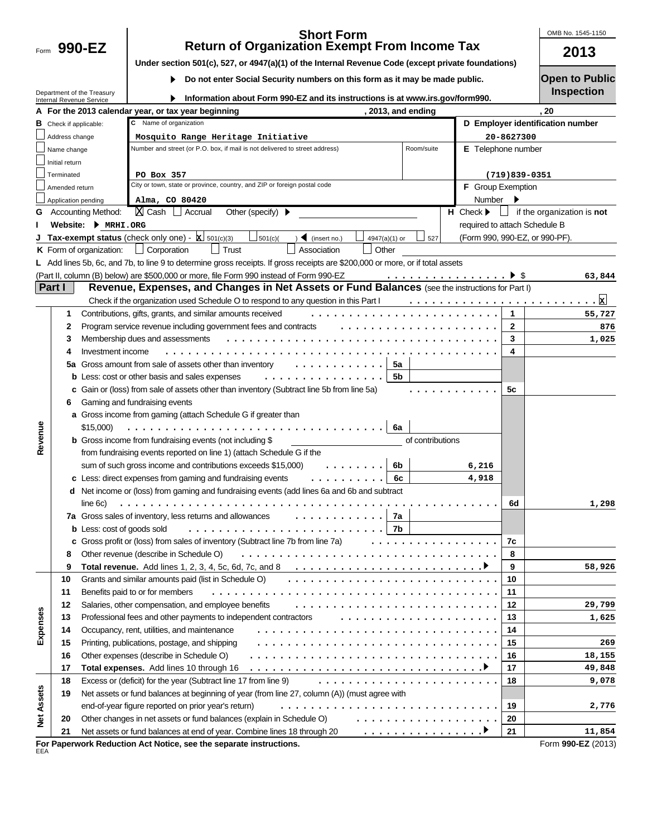Form 990-EZ

### **990-EZ 2013 Short Form Return of Organization Exempt From Income Tax**

OMB No. 1545-1150

|  | Under section 501(c), 527, or 4947(a)(1) of the Internal Revenue Code (except private foundations) |  |
|--|----------------------------------------------------------------------------------------------------|--|
|  |                                                                                                    |  |

**Do not enter Social Security numbers on this form as it may be made public.**   $\blacktriangleright$ 

Department of the Treasury Internal Revenue Service

| Information about Form 990-EZ and its instructions is at www.irs.gov/form990. |
|-------------------------------------------------------------------------------|
|                                                                               |

**Open to Public**

| UPULL IV LUMIN    |  |  |
|-------------------|--|--|
| <b>Inspection</b> |  |  |

|                   |                     |                                                                 | A For the 2013 calendar year, or tax year beginning                                                                                                           | , 2013, and ending |                                  |                                | , 20                                     |  |
|-------------------|---------------------|-----------------------------------------------------------------|---------------------------------------------------------------------------------------------------------------------------------------------------------------|--------------------|----------------------------------|--------------------------------|------------------------------------------|--|
|                   |                     | C Name of organization<br><b>B</b> Check if applicable:         |                                                                                                                                                               |                    | D Employer identification number |                                |                                          |  |
|                   |                     | Address change<br>Mosquito Range Heritage Initiative            |                                                                                                                                                               |                    |                                  | 20-8627300                     |                                          |  |
|                   | Name change         |                                                                 | Number and street (or P.O. box, if mail is not delivered to street address)                                                                                   | Room/suite         |                                  | E Telephone number             |                                          |  |
|                   | Initial return      |                                                                 |                                                                                                                                                               |                    |                                  |                                |                                          |  |
|                   | Terminated          |                                                                 | PO Box 357                                                                                                                                                    |                    |                                  | $(719)839-0351$                |                                          |  |
|                   | Amended return      |                                                                 | City or town, state or province, country, and ZIP or foreign postal code                                                                                      |                    | F Group Exemption                |                                |                                          |  |
|                   | Application pending |                                                                 | Alma, CO 80420                                                                                                                                                |                    | Number                           | ▸                              |                                          |  |
|                   |                     | <b>G</b> Accounting Method:                                     | Other (specify)<br> X Cash │ Accrual                                                                                                                          |                    | $H$ Check $\blacktriangleright$  |                                | $\Box$ if the organization is <b>not</b> |  |
|                   |                     | Website: MRHI.ORG                                               |                                                                                                                                                               |                    |                                  | required to attach Schedule B  |                                          |  |
|                   |                     |                                                                 | <b>Tax-exempt status</b> (check only one) - $\boxed{\mathbf{x}}$ 501(c)(3)<br>$\Box$ 501(c)(<br>$\sum$ (insert no.)<br>4947(a)(1) or                          | $\Box$ 527         |                                  | (Form 990, 990-EZ, or 990-PF). |                                          |  |
|                   |                     |                                                                 | $\Box$ Trust<br><b>K</b> Form of organization: $\Box$ Corporation<br>  Association<br>$\Box$ Other                                                            |                    |                                  |                                |                                          |  |
|                   |                     |                                                                 | L Add lines 5b, 6c, and 7b, to line 9 to determine gross receipts. If gross receipts are \$200,000 or more, or if total assets                                |                    |                                  |                                |                                          |  |
|                   |                     |                                                                 | (Part II, column (B) below) are \$500,000 or more, file Form 990 instead of Form 990-EZ                                                                       |                    |                                  |                                | 63,844                                   |  |
|                   | Part I              |                                                                 | Revenue, Expenses, and Changes in Net Assets or Fund Balances (see the instructions for Part I)                                                               |                    |                                  |                                |                                          |  |
|                   |                     |                                                                 | Check if the organization used Schedule O to respond to any question in this Part $1, \ldots, \ldots, \ldots, \ldots, \ldots, \ldots, \ldots, \ldots, \ldots$ |                    |                                  |                                |                                          |  |
|                   | 1                   |                                                                 | Contributions, gifts, grants, and similar amounts received                                                                                                    |                    |                                  | $\mathbf{1}$                   | 55,727                                   |  |
|                   | 2                   |                                                                 | Program service revenue including government fees and contracts                                                                                               |                    |                                  | $\mathbf{2}$                   | 876                                      |  |
|                   | 3                   |                                                                 | Membership dues and assessments                                                                                                                               |                    |                                  | 3                              | 1,025                                    |  |
|                   | 4                   | Investment income                                               |                                                                                                                                                               |                    |                                  | 4                              |                                          |  |
|                   | 5a                  |                                                                 | Gross amount from sale of assets other than inventory                                                                                                         | 5a                 |                                  |                                |                                          |  |
|                   |                     |                                                                 | .<br><b>b</b> Less: cost or other basis and sales expenses                                                                                                    | 5b                 |                                  |                                |                                          |  |
|                   |                     |                                                                 | c Gain or (loss) from sale of assets other than inventory (Subtract line 5b from line 5a)                                                                     |                    |                                  | 5с                             |                                          |  |
|                   | 6                   | Gaming and fundraising events                                   |                                                                                                                                                               |                    |                                  |                                |                                          |  |
|                   |                     |                                                                 | a Gross income from gaming (attach Schedule G if greater than                                                                                                 |                    |                                  |                                |                                          |  |
|                   |                     | \$15,000)                                                       |                                                                                                                                                               | 6a                 |                                  |                                |                                          |  |
| Revenue           |                     | <b>b</b> Gross income from fundraising events (not including \$ |                                                                                                                                                               |                    |                                  |                                |                                          |  |
|                   |                     |                                                                 | from fundraising events reported on line 1) (attach Schedule G if the                                                                                         |                    |                                  |                                |                                          |  |
|                   |                     |                                                                 | sum of such gross income and contributions exceeds \$15,000)<br>.                                                                                             | 6b                 | 6,216                            |                                |                                          |  |
|                   |                     |                                                                 | c Less: direct expenses from gaming and fundraising events<br>.                                                                                               | 6с                 | 4,918                            |                                |                                          |  |
|                   |                     |                                                                 | d Net income or (loss) from gaming and fundraising events (add lines 6a and 6b and subtract                                                                   |                    |                                  |                                |                                          |  |
|                   |                     | line 6c)                                                        |                                                                                                                                                               |                    |                                  | 6d                             | 1,298                                    |  |
|                   |                     |                                                                 | 7a Gross sales of inventory, less returns and allowances                                                                                                      | 7a                 |                                  |                                |                                          |  |
|                   |                     | <b>b</b> Less: cost of goods sold                               |                                                                                                                                                               | 7b                 |                                  |                                |                                          |  |
|                   |                     |                                                                 | c Gross profit or (loss) from sales of inventory (Subtract line 7b from line 7a)                                                                              | .                  |                                  | 7c                             |                                          |  |
|                   | 8                   |                                                                 | Other revenue (describe in Schedule O)                                                                                                                        |                    |                                  | 8                              |                                          |  |
|                   | 9                   |                                                                 | <b>Total revenue.</b> Add lines 1, 2, 3, 4, 5c, 6d, 7c, and 8 $\dots \dots \dots \dots \dots \dots \dots \dots \dots \dots$                                   |                    |                                  | 9                              | 58,926                                   |  |
|                   | 10                  |                                                                 | Grants and similar amounts paid (list in Schedule O)                                                                                                          |                    |                                  | 10                             |                                          |  |
|                   | 11                  |                                                                 | Benefits paid to or for members                                                                                                                               |                    |                                  | 11                             |                                          |  |
|                   | 12                  |                                                                 | Salaries, other compensation, and employee benefits                                                                                                           |                    |                                  | 12                             | 29,799                                   |  |
|                   | 13                  |                                                                 | Professional fees and other payments to independent contractors                                                                                               |                    |                                  | 13                             | 1,625                                    |  |
| Expenses          | 14                  |                                                                 | Occupancy, rent, utilities, and maintenance                                                                                                                   |                    |                                  | 14                             |                                          |  |
|                   | 15                  |                                                                 | Printing, publications, postage, and shipping                                                                                                                 |                    |                                  | 15                             | 269                                      |  |
|                   | 16                  |                                                                 | Other expenses (describe in Schedule O)                                                                                                                       |                    |                                  | 16                             | 18,155                                   |  |
|                   | 17                  |                                                                 | Total expenses. Add lines 10 through 16                                                                                                                       |                    |                                  | 17                             | 49,848                                   |  |
|                   | 18                  |                                                                 | Excess or (deficit) for the year (Subtract line 17 from line 9)                                                                                               |                    |                                  | 18                             | 9,078                                    |  |
|                   | 19                  |                                                                 | Net assets or fund balances at beginning of year (from line 27, column (A)) (must agree with                                                                  |                    |                                  |                                |                                          |  |
|                   |                     |                                                                 | end-of-year figure reported on prior year's return)                                                                                                           |                    |                                  | 19                             | 2,776                                    |  |
| <b>Net Assets</b> | 20                  |                                                                 | Other changes in net assets or fund balances (explain in Schedule O)                                                                                          | .                  |                                  | 20                             |                                          |  |
|                   | 21                  |                                                                 | Net assets or fund balances at end of year. Combine lines 18 through 20                                                                                       | <u>.</u>           |                                  | 21                             | 11,854                                   |  |
| EEA               |                     |                                                                 | For Paperwork Reduction Act Notice, see the separate instructions.                                                                                            |                    |                                  |                                | Form 990-EZ (2013)                       |  |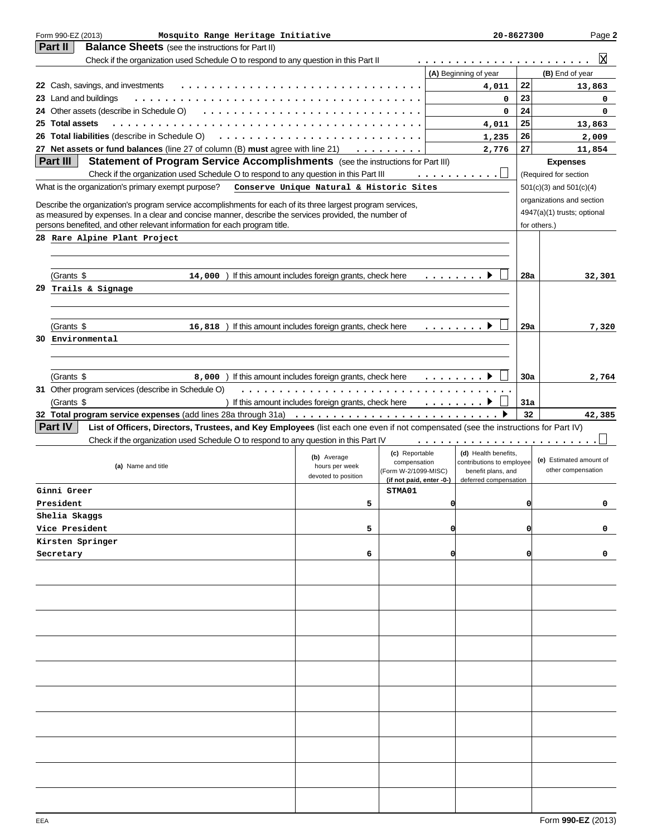|    | Form 990-EZ (2013)<br>Mosquito Range Heritage Initiative                                                                                                                                                             |                                                      |                                                  |                                                                                                                                                         | 20-8627300                                  |          | Page 2                      |
|----|----------------------------------------------------------------------------------------------------------------------------------------------------------------------------------------------------------------------|------------------------------------------------------|--------------------------------------------------|---------------------------------------------------------------------------------------------------------------------------------------------------------|---------------------------------------------|----------|-----------------------------|
|    | Part II<br><b>Balance Sheets</b> (see the instructions for Part II)                                                                                                                                                  |                                                      |                                                  |                                                                                                                                                         |                                             |          |                             |
|    | Check if the organization used Schedule O to respond to any question in this Part II                                                                                                                                 |                                                      |                                                  | .                                                                                                                                                       |                                             |          | lх                          |
|    |                                                                                                                                                                                                                      |                                                      |                                                  | (A) Beginning of year                                                                                                                                   |                                             |          | (B) End of year             |
|    | 22 Cash, savings, and investments                                                                                                                                                                                    |                                                      |                                                  |                                                                                                                                                         | 4,011                                       | 22       | 13,863                      |
|    | 23 Land and buildings                                                                                                                                                                                                |                                                      |                                                  |                                                                                                                                                         | 0                                           | 23       | 0                           |
|    | 24 Other assets (describe in Schedule O)<br>.                                                                                                                                                                        |                                                      |                                                  |                                                                                                                                                         | 0                                           | 24       | 0                           |
|    | 25 Total assets<br>26 Total liabilities (describe in Schedule O)                                                                                                                                                     |                                                      |                                                  |                                                                                                                                                         | 4,011                                       | 25<br>26 | 13,863                      |
|    | 27 Net assets or fund balances (line 27 of column (B) must agree with line 21)                                                                                                                                       |                                                      |                                                  |                                                                                                                                                         | 1,235                                       | 27       | 2,009                       |
|    | Part III<br>Statement of Program Service Accomplishments (see the instructions for Part III)                                                                                                                         |                                                      | .                                                |                                                                                                                                                         | 2,776                                       |          | 11,854<br><b>Expenses</b>   |
|    | Check if the organization used Schedule O to respond to any question in this Part III                                                                                                                                |                                                      |                                                  | .                                                                                                                                                       |                                             |          | (Required for section       |
|    | What is the organization's primary exempt purpose?                                                                                                                                                                   | Conserve Unique Natural & Historic Sites             |                                                  |                                                                                                                                                         |                                             |          | $501(c)(3)$ and $501(c)(4)$ |
|    |                                                                                                                                                                                                                      |                                                      |                                                  |                                                                                                                                                         |                                             |          | organizations and section   |
|    | Describe the organization's program service accomplishments for each of its three largest program services,<br>as measured by expenses. In a clear and concise manner, describe the services provided, the number of |                                                      |                                                  |                                                                                                                                                         |                                             |          | 4947(a)(1) trusts; optional |
|    | persons benefited, and other relevant information for each program title.                                                                                                                                            |                                                      |                                                  |                                                                                                                                                         |                                             |          | for others.)                |
|    | 28 Rare Alpine Plant Project                                                                                                                                                                                         |                                                      |                                                  |                                                                                                                                                         |                                             |          |                             |
|    |                                                                                                                                                                                                                      |                                                      |                                                  |                                                                                                                                                         |                                             |          |                             |
|    |                                                                                                                                                                                                                      |                                                      |                                                  |                                                                                                                                                         |                                             |          |                             |
|    | (Grants \$<br>14,000) If this amount includes foreign grants, check here                                                                                                                                             |                                                      |                                                  | $\begin{array}{cccccccccccccc} \bullet & \bullet & \bullet & \bullet & \bullet & \bullet & \bullet & \bullet & \bullet & \bullet & \bullet \end{array}$ |                                             | 28a      | 32,301                      |
| 29 | Trails & Signage                                                                                                                                                                                                     |                                                      |                                                  |                                                                                                                                                         |                                             |          |                             |
|    |                                                                                                                                                                                                                      |                                                      |                                                  |                                                                                                                                                         |                                             |          |                             |
|    |                                                                                                                                                                                                                      |                                                      |                                                  |                                                                                                                                                         |                                             |          |                             |
|    | (Grants \$<br>16,818) If this amount includes foreign grants, check here                                                                                                                                             |                                                      |                                                  | .                                                                                                                                                       |                                             | 29a      | 7,320                       |
| 30 | Environmental                                                                                                                                                                                                        |                                                      |                                                  |                                                                                                                                                         |                                             |          |                             |
|    |                                                                                                                                                                                                                      |                                                      |                                                  |                                                                                                                                                         |                                             |          |                             |
|    |                                                                                                                                                                                                                      |                                                      |                                                  |                                                                                                                                                         |                                             |          |                             |
|    | (Grants \$<br>8,000<br>31 Other program services (describe in Schedule O)                                                                                                                                            | If this amount includes foreign grants, check here   |                                                  | .                                                                                                                                                       |                                             | 30a      | 2,764                       |
|    | (Grants \$                                                                                                                                                                                                           | ) If this amount includes foreign grants, check here |                                                  |                                                                                                                                                         |                                             | 31a      |                             |
|    |                                                                                                                                                                                                                      |                                                      |                                                  |                                                                                                                                                         |                                             | 32       | 42,385                      |
|    | Part IV<br>List of Officers, Directors, Trustees, and Key Employees (list each one even if not compensated (see the instructions for Part IV)                                                                        |                                                      |                                                  |                                                                                                                                                         |                                             |          |                             |
|    | Check if the organization used Schedule O to respond to any question in this Part IV                                                                                                                                 |                                                      |                                                  | .                                                                                                                                                       |                                             |          |                             |
|    |                                                                                                                                                                                                                      |                                                      | (c) Reportable                                   |                                                                                                                                                         | (d) Health benefits,                        |          |                             |
|    | (a) Name and title                                                                                                                                                                                                   | (b) Average<br>hours per week                        | compensation                                     | contributions to employee                                                                                                                               |                                             |          | (e) Estimated amount of     |
|    |                                                                                                                                                                                                                      | devoted to position                                  | (Form W-2/1099-MISC)<br>(if not paid, enter -0-) |                                                                                                                                                         | benefit plans, and<br>deferred compensation |          | other compensation          |
|    | Ginni Greer                                                                                                                                                                                                          |                                                      | STMA01                                           |                                                                                                                                                         |                                             |          |                             |
|    | President                                                                                                                                                                                                            |                                                      |                                                  |                                                                                                                                                         |                                             |          |                             |
|    | Shelia Skaggs                                                                                                                                                                                                        |                                                      |                                                  |                                                                                                                                                         |                                             |          |                             |
|    | Vice President                                                                                                                                                                                                       | 5                                                    |                                                  | 01                                                                                                                                                      |                                             |          |                             |
|    | Kirsten Springer                                                                                                                                                                                                     |                                                      |                                                  |                                                                                                                                                         |                                             |          |                             |
|    | Secretary                                                                                                                                                                                                            |                                                      |                                                  |                                                                                                                                                         |                                             |          |                             |
|    |                                                                                                                                                                                                                      | 6                                                    |                                                  | 0                                                                                                                                                       |                                             | 0        | 0                           |
|    |                                                                                                                                                                                                                      |                                                      |                                                  |                                                                                                                                                         |                                             |          |                             |
|    |                                                                                                                                                                                                                      |                                                      |                                                  |                                                                                                                                                         |                                             |          |                             |
|    |                                                                                                                                                                                                                      |                                                      |                                                  |                                                                                                                                                         |                                             |          |                             |
|    |                                                                                                                                                                                                                      |                                                      |                                                  |                                                                                                                                                         |                                             |          |                             |
|    |                                                                                                                                                                                                                      |                                                      |                                                  |                                                                                                                                                         |                                             |          |                             |
|    |                                                                                                                                                                                                                      |                                                      |                                                  |                                                                                                                                                         |                                             |          |                             |
|    |                                                                                                                                                                                                                      |                                                      |                                                  |                                                                                                                                                         |                                             |          |                             |
|    |                                                                                                                                                                                                                      |                                                      |                                                  |                                                                                                                                                         |                                             |          |                             |
|    |                                                                                                                                                                                                                      |                                                      |                                                  |                                                                                                                                                         |                                             |          |                             |
|    |                                                                                                                                                                                                                      |                                                      |                                                  |                                                                                                                                                         |                                             |          |                             |
|    |                                                                                                                                                                                                                      |                                                      |                                                  |                                                                                                                                                         |                                             |          |                             |
|    |                                                                                                                                                                                                                      |                                                      |                                                  |                                                                                                                                                         |                                             |          |                             |
|    |                                                                                                                                                                                                                      |                                                      |                                                  |                                                                                                                                                         |                                             |          |                             |
|    |                                                                                                                                                                                                                      |                                                      |                                                  |                                                                                                                                                         |                                             |          |                             |
|    |                                                                                                                                                                                                                      |                                                      |                                                  |                                                                                                                                                         |                                             |          |                             |
|    |                                                                                                                                                                                                                      |                                                      |                                                  |                                                                                                                                                         |                                             |          |                             |
|    |                                                                                                                                                                                                                      |                                                      |                                                  |                                                                                                                                                         |                                             |          |                             |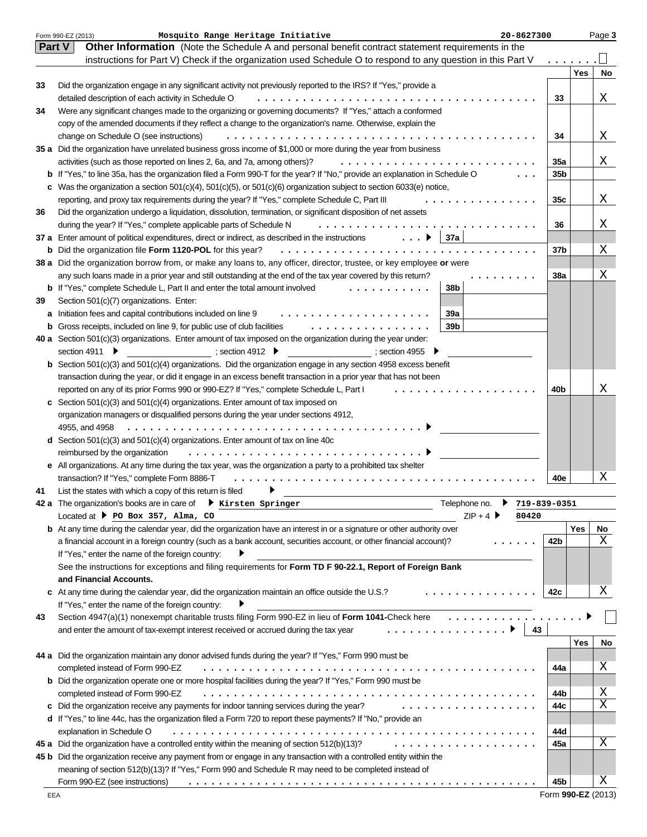|    | Mosquito Range Heritage Initiative<br>Form 990-EZ (2013)<br>20-8627300                                                                           |                 |     | Page 3 |
|----|--------------------------------------------------------------------------------------------------------------------------------------------------|-----------------|-----|--------|
|    | Part V<br>Other Information (Note the Schedule A and personal benefit contract statement requirements in the                                     |                 |     |        |
|    | instructions for Part V) Check if the organization used Schedule O to respond to any question in this Part V                                     |                 |     |        |
|    |                                                                                                                                                  |                 | Yes | No     |
| 33 | Did the organization engage in any significant activity not previously reported to the IRS? If "Yes," provide a                                  |                 |     |        |
|    | detailed description of each activity in Schedule O                                                                                              | 33              |     | Χ      |
| 34 | Were any significant changes made to the organizing or governing documents? If "Yes," attach a conformed                                         |                 |     |        |
|    | copy of the amended documents if they reflect a change to the organization's name. Otherwise, explain the                                        |                 |     |        |
|    | change on Schedule O (see instructions)                                                                                                          | 34              |     | Χ      |
|    | 35 a Did the organization have unrelated business gross income of \$1,000 or more during the year from business                                  |                 |     |        |
|    | activities (such as those reported on lines 2, 6a, and 7a, among others)?                                                                        | 35a             |     | Χ      |
|    | <b>b</b> If "Yes," to line 35a, has the organization filed a Form 990-T for the year? If "No," provide an explanation in Schedule O              | 35 <sub>b</sub> |     |        |
|    | c Was the organization a section $501(c)(4)$ , $501(c)(5)$ , or $501(c)(6)$ organization subject to section 6033(e) notice,                      |                 |     |        |
|    | reporting, and proxy tax requirements during the year? If "Yes," complete Schedule C, Part III                                                   | 35c             |     | Χ      |
| 36 | Did the organization undergo a liquidation, dissolution, termination, or significant disposition of net assets                                   |                 |     |        |
|    | during the year? If "Yes," complete applicable parts of Schedule N                                                                               | 36              |     | Χ      |
|    | 37a<br>$\ldots$<br>37 a Enter amount of political expenditures, direct or indirect, as described in the instructions                             |                 |     |        |
|    | <b>b</b> Did the organization file Form 1120-POL for this year?                                                                                  | 37b             |     | Χ      |
|    | 38 a Did the organization borrow from, or make any loans to, any officer, director, trustee, or key employee or were                             |                 |     |        |
|    | any such loans made in a prior year and still outstanding at the end of the tax year covered by this return?                                     | 38a             |     | Χ      |
|    | 38b<br><b>b</b> If "Yes," complete Schedule L, Part II and enter the total amount involved<br>.                                                  |                 |     |        |
| 39 | Section 501(c)(7) organizations. Enter:                                                                                                          |                 |     |        |
|    | 39a<br>a Initiation fees and capital contributions included on line 9<br>.                                                                       |                 |     |        |
|    | 39b<br><b>b</b> Gross receipts, included on line 9, for public use of club facilities<br>.                                                       |                 |     |        |
|    | 40 a Section 501(c)(3) organizations. Enter amount of tax imposed on the organization during the year under:                                     |                 |     |        |
|    | ; section 4912 $\blacktriangleright$<br>section 4911 ▶<br>; section 4955 ▶                                                                       |                 |     |        |
|    | <b>b</b> Section $501(c)(3)$ and $501(c)(4)$ organizations. Did the organization engage in any section 4958 excess benefit                       |                 |     |        |
|    | transaction during the year, or did it engage in an excess benefit transaction in a prior year that has not been                                 |                 |     | х      |
|    | reported on any of its prior Forms 990 or 990-EZ? If "Yes," complete Schedule L, Part I                                                          | 40b             |     |        |
|    | c Section 501(c)(3) and 501(c)(4) organizations. Enter amount of tax imposed on                                                                  |                 |     |        |
|    | organization managers or disqualified persons during the year under sections 4912,                                                               |                 |     |        |
|    | 4955, and 4958                                                                                                                                   |                 |     |        |
|    | d Section $501(c)(3)$ and $501(c)(4)$ organizations. Enter amount of tax on line 40c                                                             |                 |     |        |
|    | reimbursed by the organization<br>e All organizations. At any time during the tax year, was the organization a party to a prohibited tax shelter |                 |     |        |
|    | transaction? If "Yes," complete Form 8886-T                                                                                                      | 40e             |     | Χ      |
| 41 | List the states with which a copy of this return is filed                                                                                        |                 |     |        |
|    | Telephone no.<br>42 a The organization's books are in care of $\quadblacktriangleright$ Kirsten Springer<br>719-839-0351                         |                 |     |        |
|    | $ZIP + 4$<br>Located at $\triangleright$ PO Box 357, Alma, CO<br>80420                                                                           |                 |     |        |
|    | <b>b</b> At any time during the calendar year, did the organization have an interest in or a signature or other authority over                   |                 | Yes | No     |
|    | a financial account in a foreign country (such as a bank account, securities account, or other financial account)?                               | 42b             |     | X      |
|    | If "Yes," enter the name of the foreign country:                                                                                                 |                 |     |        |
|    | See the instructions for exceptions and filing requirements for Form TD F 90-22.1, Report of Foreign Bank                                        |                 |     |        |
|    | and Financial Accounts.                                                                                                                          |                 |     |        |
|    | c At any time during the calendar year, did the organization maintain an office outside the U.S.?<br>.                                           | 42c             |     | Χ      |
|    | If "Yes," enter the name of the foreign country:                                                                                                 |                 |     |        |
| 43 | Section 4947(a)(1) nonexempt charitable trusts filing Form 990-EZ in lieu of Form 1041-Check here                                                |                 |     |        |
|    | 43<br>and enter the amount of tax-exempt interest received or accrued during the tax year<br>.                                                   |                 |     |        |
|    |                                                                                                                                                  |                 | Yes | No     |
|    | 44 a Did the organization maintain any donor advised funds during the year? If "Yes," Form 990 must be                                           |                 |     |        |
|    | completed instead of Form 990-EZ                                                                                                                 | 44a             |     | Χ      |
|    | <b>b</b> Did the organization operate one or more hospital facilities during the year? If "Yes," Form 990 must be                                |                 |     |        |
|    | completed instead of Form 990-EZ                                                                                                                 | 44b             |     | Χ      |
|    | c Did the organization receive any payments for indoor tanning services during the year?<br>.                                                    | 44c             |     | X      |
|    | d If "Yes," to line 44c, has the organization filed a Form 720 to report these payments? If "No," provide an                                     |                 |     |        |
|    | explanation in Schedule O                                                                                                                        | 44d             |     |        |
|    | 45 a Did the organization have a controlled entity within the meaning of section 512(b)(13)?<br>.                                                | 45a             |     | Χ      |
|    | 45 b Did the organization receive any payment from or engage in any transaction with a controlled entity within the                              |                 |     |        |
|    | meaning of section 512(b)(13)? If "Yes," Form 990 and Schedule R may need to be completed instead of                                             |                 |     |        |
|    | Form 990-EZ (see instructions)                                                                                                                   | 45b             |     | Χ      |

Form **990-EZ** (2013)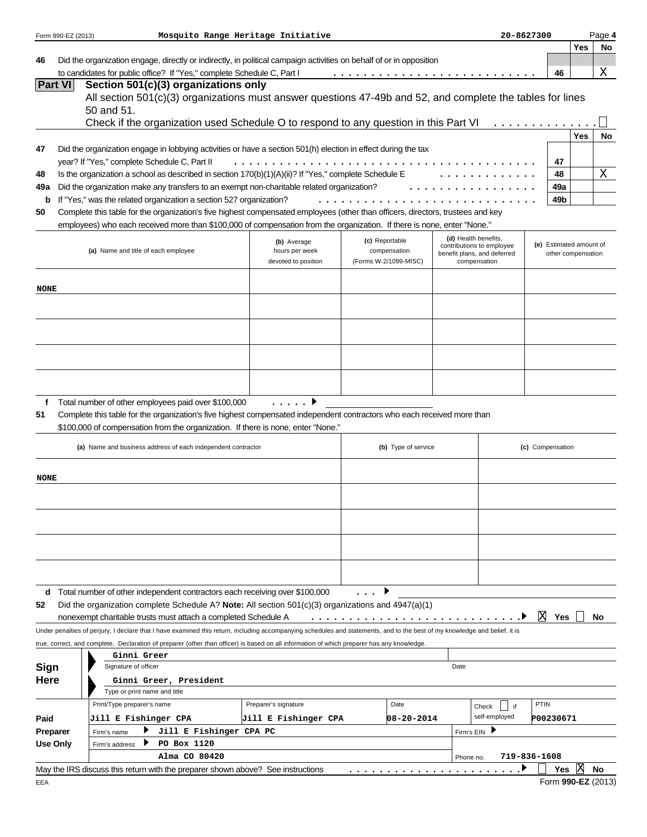|             | Form 990-EZ (2013)                                                                                            |                                                                                                                                                                            | Mosquito Range Heritage Initiative |  |                       |           |                                                          | 20-8627300       |           |                                               | Page 4             |
|-------------|---------------------------------------------------------------------------------------------------------------|----------------------------------------------------------------------------------------------------------------------------------------------------------------------------|------------------------------------|--|-----------------------|-----------|----------------------------------------------------------|------------------|-----------|-----------------------------------------------|--------------------|
|             |                                                                                                               |                                                                                                                                                                            |                                    |  |                       |           |                                                          |                  |           | Yes                                           | No                 |
| 46          |                                                                                                               | Did the organization engage, directly or indirectly, in political campaign activities on behalf of or in opposition                                                        |                                    |  |                       |           |                                                          |                  |           |                                               |                    |
|             | <b>Part VI</b>                                                                                                | to candidates for public office? If "Yes," complete Schedule C, Part I                                                                                                     |                                    |  |                       |           |                                                          |                  | 46        |                                               | Χ                  |
|             |                                                                                                               | Section 501(c)(3) organizations only<br>All section 501(c)(3) organizations must answer questions 47-49b and 52, and complete the tables for lines                         |                                    |  |                       |           |                                                          |                  |           |                                               |                    |
|             |                                                                                                               | 50 and 51.                                                                                                                                                                 |                                    |  |                       |           |                                                          |                  |           |                                               |                    |
|             |                                                                                                               | Check if the organization used Schedule O to respond to any question in this Part VI                                                                                       |                                    |  |                       |           |                                                          |                  |           |                                               |                    |
|             |                                                                                                               |                                                                                                                                                                            |                                    |  |                       |           |                                                          |                  |           | Yes                                           | No                 |
| 47          | Did the organization engage in lobbying activities or have a section 501(h) election in effect during the tax |                                                                                                                                                                            |                                    |  |                       |           |                                                          |                  |           |                                               |                    |
|             |                                                                                                               | year? If "Yes," complete Schedule C, Part II                                                                                                                               |                                    |  |                       |           |                                                          |                  | 47        |                                               |                    |
| 48          |                                                                                                               | Is the organization a school as described in section $170(b)(1)(A)(ii)?$ If "Yes," complete Schedule E                                                                     |                                    |  |                       |           |                                                          |                  | 48        |                                               | Χ                  |
| 49a         |                                                                                                               | Did the organization make any transfers to an exempt non-charitable related organization?                                                                                  |                                    |  |                       |           |                                                          |                  | 49a       |                                               |                    |
| b           |                                                                                                               | If "Yes," was the related organization a section 527 organization?                                                                                                         |                                    |  |                       |           |                                                          |                  | 49b       |                                               |                    |
| 50          |                                                                                                               | Complete this table for the organization's five highest compensated employees (other than officers, directors, trustees and key                                            |                                    |  |                       |           |                                                          |                  |           |                                               |                    |
|             |                                                                                                               | employees) who each received more than \$100,000 of compensation from the organization. If there is none, enter "None."                                                    |                                    |  |                       |           |                                                          |                  |           |                                               |                    |
|             |                                                                                                               |                                                                                                                                                                            |                                    |  | (c) Reportable        |           | (d) Health benefits.                                     |                  |           |                                               |                    |
|             |                                                                                                               | (a) Name and title of each employee                                                                                                                                        | (b) Average<br>hours per week      |  | compensation          |           | contributions to employee<br>benefit plans, and deferred |                  |           | (e) Estimated amount of<br>other compensation |                    |
|             |                                                                                                               |                                                                                                                                                                            | devoted to position                |  | (Forms W-2/1099-MISC) |           | compensation                                             |                  |           |                                               |                    |
|             |                                                                                                               |                                                                                                                                                                            |                                    |  |                       |           |                                                          |                  |           |                                               |                    |
| NONE        |                                                                                                               |                                                                                                                                                                            |                                    |  |                       |           |                                                          |                  |           |                                               |                    |
|             |                                                                                                               |                                                                                                                                                                            |                                    |  |                       |           |                                                          |                  |           |                                               |                    |
|             |                                                                                                               |                                                                                                                                                                            |                                    |  |                       |           |                                                          |                  |           |                                               |                    |
|             |                                                                                                               |                                                                                                                                                                            |                                    |  |                       |           |                                                          |                  |           |                                               |                    |
|             |                                                                                                               |                                                                                                                                                                            |                                    |  |                       |           |                                                          |                  |           |                                               |                    |
|             |                                                                                                               |                                                                                                                                                                            |                                    |  |                       |           |                                                          |                  |           |                                               |                    |
|             |                                                                                                               |                                                                                                                                                                            |                                    |  |                       |           |                                                          |                  |           |                                               |                    |
|             |                                                                                                               |                                                                                                                                                                            |                                    |  |                       |           |                                                          |                  |           |                                               |                    |
|             |                                                                                                               |                                                                                                                                                                            |                                    |  |                       |           |                                                          |                  |           |                                               |                    |
| f           |                                                                                                               | Total number of other employees paid over \$100,000                                                                                                                        | . 1                                |  |                       |           |                                                          |                  |           |                                               |                    |
| 51          |                                                                                                               | Complete this table for the organization's five highest compensated independent contractors who each received more than                                                    |                                    |  |                       |           |                                                          |                  |           |                                               |                    |
|             |                                                                                                               | \$100,000 of compensation from the organization. If there is none, enter "None."                                                                                           |                                    |  |                       |           |                                                          |                  |           |                                               |                    |
|             |                                                                                                               | (a) Name and business address of each independent contractor                                                                                                               |                                    |  | (b) Type of service   |           |                                                          | (c) Compensation |           |                                               |                    |
|             |                                                                                                               |                                                                                                                                                                            |                                    |  |                       |           |                                                          |                  |           |                                               |                    |
| <b>NONE</b> |                                                                                                               |                                                                                                                                                                            |                                    |  |                       |           |                                                          |                  |           |                                               |                    |
|             |                                                                                                               |                                                                                                                                                                            |                                    |  |                       |           |                                                          |                  |           |                                               |                    |
|             |                                                                                                               |                                                                                                                                                                            |                                    |  |                       |           |                                                          |                  |           |                                               |                    |
|             |                                                                                                               |                                                                                                                                                                            |                                    |  |                       |           |                                                          |                  |           |                                               |                    |
|             |                                                                                                               |                                                                                                                                                                            |                                    |  |                       |           |                                                          |                  |           |                                               |                    |
|             |                                                                                                               |                                                                                                                                                                            |                                    |  |                       |           |                                                          |                  |           |                                               |                    |
|             |                                                                                                               |                                                                                                                                                                            |                                    |  |                       |           |                                                          |                  |           |                                               |                    |
|             |                                                                                                               |                                                                                                                                                                            |                                    |  |                       |           |                                                          |                  |           |                                               |                    |
|             |                                                                                                               |                                                                                                                                                                            |                                    |  |                       |           |                                                          |                  |           |                                               |                    |
| d           |                                                                                                               | Total number of other independent contractors each receiving over \$100,000                                                                                                |                                    |  |                       |           |                                                          |                  |           |                                               |                    |
| 52          |                                                                                                               | Did the organization complete Schedule A? Note: All section $501(c)(3)$ organizations and $4947(a)(1)$                                                                     |                                    |  |                       |           |                                                          |                  |           |                                               |                    |
|             |                                                                                                               | nonexempt charitable trusts must attach a completed Schedule A                                                                                                             |                                    |  | .                     |           |                                                          | X                | Yes       |                                               | No                 |
|             |                                                                                                               | Under penalties of perjury, I declare that I have examined this return, including accompanying schedules and statements, and to the best of my knowledge and belief, it is |                                    |  |                       |           |                                                          |                  |           |                                               |                    |
|             |                                                                                                               | true, correct, and complete. Declaration of preparer (other than officer) is based on all information of which preparer has any knowledge.                                 |                                    |  |                       |           |                                                          |                  |           |                                               |                    |
|             |                                                                                                               | Ginni Greer                                                                                                                                                                |                                    |  |                       |           |                                                          |                  |           |                                               |                    |
| Sign        |                                                                                                               | Signature of officer                                                                                                                                                       |                                    |  |                       | Date      |                                                          |                  |           |                                               |                    |
| Here        |                                                                                                               | Ginni Greer, President                                                                                                                                                     |                                    |  |                       |           |                                                          |                  |           |                                               |                    |
|             |                                                                                                               | Type or print name and title                                                                                                                                               |                                    |  |                       |           |                                                          |                  |           |                                               |                    |
|             |                                                                                                               | Print/Type preparer's name                                                                                                                                                 | Preparer's signature               |  | Date                  |           | if<br>Check                                              | PTIN             |           |                                               |                    |
| Paid        |                                                                                                               | Jill E Fishinger CPA                                                                                                                                                       | Jill E Fishinger CPA               |  | 08-20-2014            |           | self-employed                                            |                  | P00230671 |                                               |                    |
|             | Preparer                                                                                                      | Jill E Fishinger CPA PC<br>Firm's name                                                                                                                                     |                                    |  |                       |           | Firm's EIN ▶                                             |                  |           |                                               |                    |
|             | <b>Use Only</b>                                                                                               | PO Box 1120<br>Firm's address                                                                                                                                              |                                    |  |                       |           |                                                          |                  |           |                                               |                    |
|             |                                                                                                               | Alma CO 80420                                                                                                                                                              |                                    |  |                       | Phone no. |                                                          | 719-836-1608     |           |                                               |                    |
|             |                                                                                                               | May the IRS discuss this return with the preparer shown above? See instructions                                                                                            |                                    |  |                       |           |                                                          |                  | Yes       | IХ                                            | No                 |
| EEA         |                                                                                                               |                                                                                                                                                                            |                                    |  |                       |           |                                                          |                  |           |                                               | Form 990-EZ (2013) |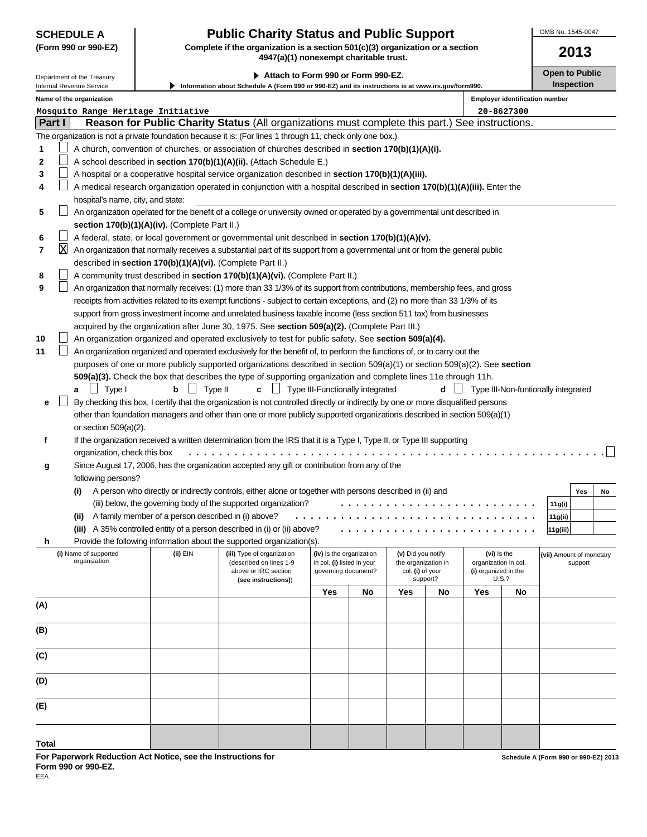# **SCHEDULE A Public Charity Status and Public Support**

**(Form 990 or 990-EZ) Complete if the organization is a section 501(c)(3) organization or a section 4947(a)(1) nonexempt charitable trust.**

▶ Attach to Form 990 or Form 990-EZ. **Depiate to Public** Open to Public Department of the Treasury **Inspection Information about Schedule A (Form 990 or 990-EZ) and its instructions is at www.irs.gov/form990.** Internal Revenue Service **Name of the organization Employer identification number Mosquito Range Heritage Initiative 20-8627300 Part I Reason for Public Charity Status** (All organizations must complete this part.) See instructions. The organization is not a private foundation because it is: (For lines 1 through 11, check only one box.) **1** A church, convention of churches, or association of churches described in **section 170(b)(1)(A)(i). 2** A school described in **section 170(b)(1)(A)(ii).** (Attach Schedule E.) **3** A hospital or a cooperative hospital service organization described in **section 170(b)(1)(A)(iii).**  $\Box$ A medical research organization operated in conjunction with a hospital described in **section 170(b)(1)(A)(iii).** Enter the **4** hospital's name, city, and state:  $\Box$ **5** An organization operated for the benefit of a college or university owned or operated by a governmental unit described in **section 170(b)(1)(A)(iv).** (Complete Part II.) **6** A federal, state, or local government or governmental unit described in **section 170(b)(1)(A)(v).** X**7** An organization that normally receives a substantial part of its support from a governmental unit or from the general public described in **section 170(b)(1)(A)(vi).** (Complete Part II.) **8** A community trust described in **section 170(b)(1)(A)(vi).** (Complete Part II.) **9** An organization that normally receives: (1) more than 33 1/3% of its support from contributions, membership fees, and gross receipts from activities related to its exempt functions - subject to certain exceptions, and (2) no more than 33 1/3% of its support from gross investment income and unrelated business taxable income (less section 511 tax) from businesses acquired by the organization after June 30, 1975. See **section 509(a)(2).** (Complete Part III.) An organization organized and operated exclusively to test for public safety. See **section 509(a)(4). 10 11**  $\perp$ An organization organized and operated exclusively for the benefit of, to perform the functions of, or to carry out the purposes of one or more publicly supported organizations described in section 509(a)(1) or section 509(a)(2). See **section 509(a)(3).** Check the box that describes the type of supporting organization and complete lines 11e through 11h. **a**  $\bigsqcup$  Type I **b**  $\bigsqcup$  Type II **c**  $\bigsqcup$  Type III-Functionally integrated **d**  $\bigsqcup$  Type III-Non-funtionally integrated  $\perp$ By checking this box, I certify that the organization is not controlled directly or indirectly by one or more disqualified persons **e** other than foundation managers and other than one or more publicly supported organizations described in section 509(a)(1) or section 509(a)(2). **f** If the organization received a written determination from the IRS that it is a Type I, Type II, or Type III supporting organization, check this box ....................................................... Since August 17, 2006, has the organization accepted any gift or contribution from any of the **g** following persons? **(i)** A person who directly or indirectly controls, either alone or together with persons described in (ii) and **Yes No** (iii) below, the governing body of the supported organization? **11g(i)** .......................... ................................ **(ii)** A family member of a person described in (i) above? **11g(ii)** .......................... **(iii)** A 35% controlled entity of a person described in (i) or (ii) above? **11g(iii)** Provide the following information about the supported organization(s). **h (i)** Name of supported **(ii)** EIN **(iii)** Type of organization **(iv)** Is the organization **(v)** Did you notify **(vi)** Is the **(vii)** Amount of monetary organization **(iii)** Consequent and the organization in col. **(iii)** in col. **(i)** listed in your the organization in col. **(i)** organization in col. support governing document? col. **(i)** or your **(i)** organized in the above or IRC section governing document? col. **(i)** of your **(i)** organized in the support? (as instructions)  $(see$  instructions)) **Yes No Yes No Yes No (A) (B) (C) (D) (E)**

**For Paperwork Reduction Act Notice, see the Instructions for Form 990 or 990-EZ.**

**Schedule A (Form 990 or 990-EZ) 2013**

**2013**

OMB No. 1545-0047

**Total**

EEA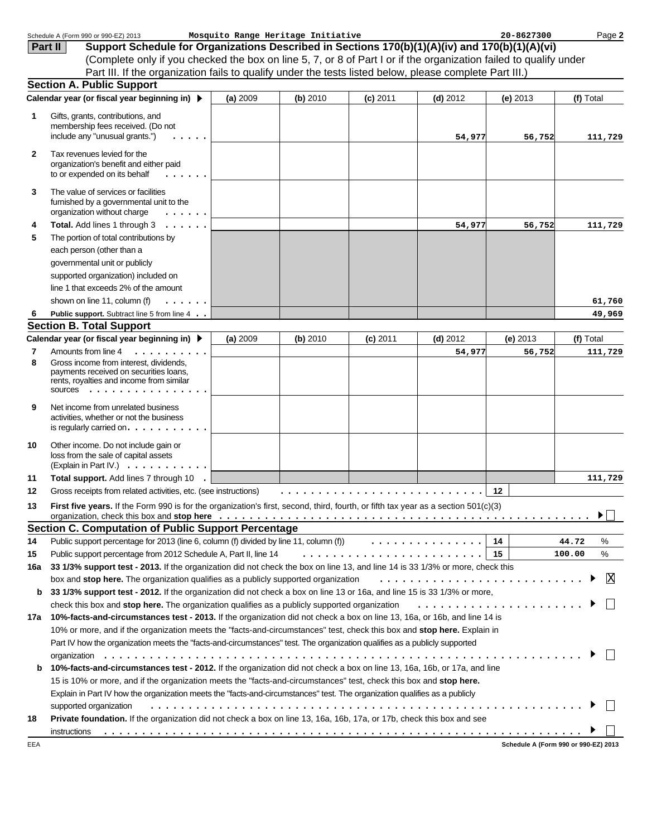|              | Schedule A (Form 990 or 990-EZ) 2013                                                                                                    |          | Mosquito Range Heritage Initiative |            |            | 20-8627300                           | Page 2      |
|--------------|-----------------------------------------------------------------------------------------------------------------------------------------|----------|------------------------------------|------------|------------|--------------------------------------|-------------|
|              | Support Schedule for Organizations Described in Sections 170(b)(1)(A)(iv) and 170(b)(1)(A)(vi)<br>Part II                               |          |                                    |            |            |                                      |             |
|              | (Complete only if you checked the box on line 5, 7, or 8 of Part I or if the organization failed to qualify under                       |          |                                    |            |            |                                      |             |
|              | Part III. If the organization fails to qualify under the tests listed below, please complete Part III.)                                 |          |                                    |            |            |                                      |             |
|              | <b>Section A. Public Support</b>                                                                                                        |          |                                    |            |            |                                      |             |
|              | Calendar year (or fiscal year beginning in) ▶                                                                                           | (a) 2009 | (b) 2010                           | $(c)$ 2011 | $(d)$ 2012 | (e) $2013$                           | (f) Total   |
| 1            | Gifts, grants, contributions, and                                                                                                       |          |                                    |            |            |                                      |             |
|              | membership fees received. (Do not                                                                                                       |          |                                    |            |            |                                      |             |
|              | include any "unusual grants.")                                                                                                          |          |                                    |            | 54,977     | 56,752                               | 111,729     |
|              | Tax revenues levied for the                                                                                                             |          |                                    |            |            |                                      |             |
| $\mathbf{2}$ | organization's benefit and either paid<br>to or expended on its behalf                                                                  |          |                                    |            |            |                                      |             |
| 3            | The value of services or facilities<br>furnished by a governmental unit to the<br>organization without charge<br>.                      |          |                                    |            |            |                                      |             |
| 4            | Total. Add lines 1 through 3                                                                                                            |          |                                    |            | 54,977     | 56,752                               | 111,729     |
| 5            | The portion of total contributions by                                                                                                   |          |                                    |            |            |                                      |             |
|              | each person (other than a                                                                                                               |          |                                    |            |            |                                      |             |
|              | governmental unit or publicly                                                                                                           |          |                                    |            |            |                                      |             |
|              | supported organization) included on                                                                                                     |          |                                    |            |            |                                      |             |
|              | line 1 that exceeds 2% of the amount                                                                                                    |          |                                    |            |            |                                      |             |
|              | shown on line 11, column (f)                                                                                                            |          |                                    |            |            |                                      | 61,760      |
| 6            | Public support. Subtract line 5 from line 4                                                                                             |          |                                    |            |            |                                      | 49,969      |
|              | <b>Section B. Total Support</b>                                                                                                         |          |                                    |            |            |                                      |             |
|              | Calendar year (or fiscal year beginning in) ▶                                                                                           | (a) 2009 | (b) 2010                           | $(c)$ 2011 | $(d)$ 2012 | $(e)$ 2013                           | (f) Total   |
| 7            | Amounts from line 4<br>.                                                                                                                |          |                                    |            | 54,977     | 56,752                               | 111,729     |
| 8            | Gross income from interest, dividends,<br>payments received on securities loans,<br>rents, royalties and income from similar<br>SOUICES |          |                                    |            |            |                                      |             |
| 9            | Net income from unrelated business<br>activities, whether or not the business<br>is regularly carried on. $\ldots$ . $\ldots$ .         |          |                                    |            |            |                                      |             |
| 10           | Other income. Do not include gain or<br>loss from the sale of capital assets<br>(Explain in Part IV.) $\cdots$                          |          |                                    |            |            |                                      |             |
| 11           | Total support. Add lines 7 through 10<br>$\sim$                                                                                         |          |                                    |            |            |                                      | 111,729     |
| 12           | Gross receipts from related activities, etc. (see instructions)                                                                         |          |                                    |            |            | $12 \,$                              |             |
| 13           | First five years. If the Form 990 is for the organization's first, second, third, fourth, or fifth tax year as a section 501(c)(3)      |          |                                    |            |            |                                      |             |
|              | organization, check this box and stop here <i>etable of the strategy of the strategy of the strategy of the strategy of</i>             |          |                                    |            |            |                                      | ▶           |
|              | <b>Section C. Computation of Public Support Percentage</b>                                                                              |          |                                    |            |            |                                      |             |
| 14           | Public support percentage for 2013 (line 6, column (f) divided by line 11, column (f) $\ldots \ldots \ldots \ldots$                     |          |                                    |            |            | 14                                   | 44.72<br>%  |
| 15           | Public support percentage from 2012 Schedule A, Part II, line 14                                                                        |          |                                    |            |            |                                      | %<br>100.00 |
| 16a          | 33 1/3% support test - 2013. If the organization did not check the box on line 13, and line 14 is 33 1/3% or more, check this           |          |                                    |            |            |                                      |             |
|              | box and stop here. The organization qualifies as a publicly supported organization                                                      |          |                                    |            |            |                                      | X           |
| b            | 33 1/3% support test - 2012. If the organization did not check a box on line 13 or 16a, and line 15 is 33 1/3% or more,                 |          |                                    |            |            |                                      |             |
|              | check this box and stop here. The organization qualifies as a publicly supported organization                                           |          |                                    |            |            |                                      |             |
| 17a          | 10%-facts-and-circumstances test - 2013. If the organization did not check a box on line 13, 16a, or 16b, and line 14 is                |          |                                    |            |            |                                      |             |
|              | 10% or more, and if the organization meets the "facts-and-circumstances" test, check this box and stop here. Explain in                 |          |                                    |            |            |                                      |             |
|              | Part IV how the organization meets the "facts-and-circumstances" test. The organization qualifies as a publicly supported               |          |                                    |            |            |                                      |             |
|              |                                                                                                                                         |          |                                    |            |            |                                      |             |
| b            | 10%-facts-and-circumstances test - 2012. If the organization did not check a box on line 13, 16a, 16b, or 17a, and line                 |          |                                    |            |            |                                      |             |
|              | 15 is 10% or more, and if the organization meets the "facts-and-circumstances" test, check this box and stop here.                      |          |                                    |            |            |                                      |             |
|              | Explain in Part IV how the organization meets the "facts-and-circumstances" test. The organization qualifies as a publicly              |          |                                    |            |            |                                      |             |
|              | supported organization                                                                                                                  |          |                                    |            |            |                                      |             |
| 18           | Private foundation. If the organization did not check a box on line 13, 16a, 16b, 17a, or 17b, check this box and see                   |          |                                    |            |            |                                      |             |
|              | instructions                                                                                                                            |          |                                    |            |            |                                      |             |
| EEA          |                                                                                                                                         |          |                                    |            |            | Schedule A (Form 990 or 990-EZ) 2013 |             |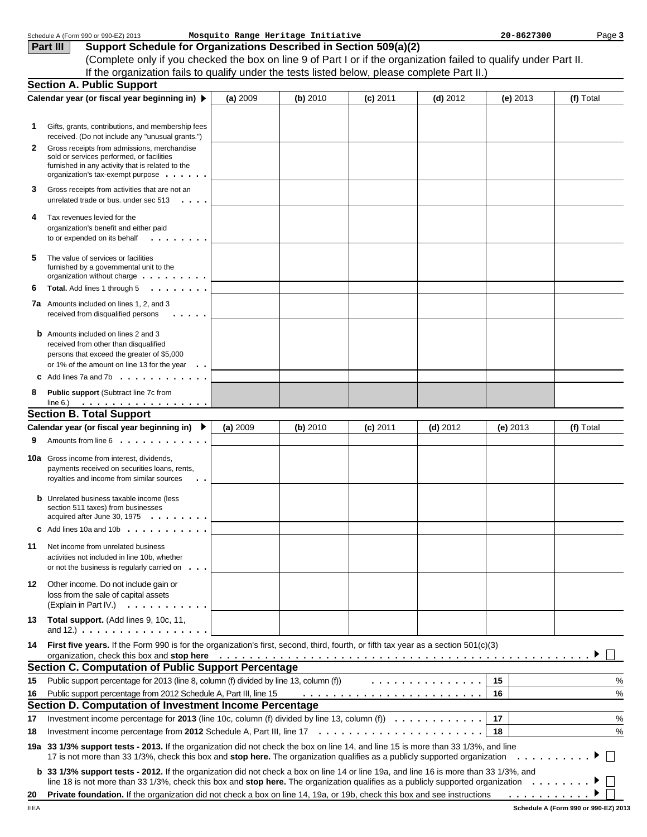|    | Schedule A (Form 990 or 990-EZ) 2013                                                                                                                                                                                                                                                               |          | Mosquito Range Heritage Initiative |            |            | 20-8627300 | Page 3        |
|----|----------------------------------------------------------------------------------------------------------------------------------------------------------------------------------------------------------------------------------------------------------------------------------------------------|----------|------------------------------------|------------|------------|------------|---------------|
|    | Support Schedule for Organizations Described in Section 509(a)(2)<br>Part III                                                                                                                                                                                                                      |          |                                    |            |            |            |               |
|    | (Complete only if you checked the box on line 9 of Part I or if the organization failed to qualify under Part II.                                                                                                                                                                                  |          |                                    |            |            |            |               |
|    | If the organization fails to qualify under the tests listed below, please complete Part II.)                                                                                                                                                                                                       |          |                                    |            |            |            |               |
|    | <b>Section A. Public Support</b>                                                                                                                                                                                                                                                                   |          |                                    |            |            |            |               |
|    | Calendar year (or fiscal year beginning in) ▶                                                                                                                                                                                                                                                      | (a) 2009 | (b) 2010                           | $(c)$ 2011 | $(d)$ 2012 | $(e)$ 2013 | (f) Total     |
|    |                                                                                                                                                                                                                                                                                                    |          |                                    |            |            |            |               |
| 1. | Gifts, grants, contributions, and membership fees                                                                                                                                                                                                                                                  |          |                                    |            |            |            |               |
|    | received. (Do not include any "unusual grants.")                                                                                                                                                                                                                                                   |          |                                    |            |            |            |               |
| 2  | Gross receipts from admissions, merchandise<br>sold or services performed, or facilities                                                                                                                                                                                                           |          |                                    |            |            |            |               |
|    | furnished in any activity that is related to the                                                                                                                                                                                                                                                   |          |                                    |            |            |            |               |
|    | organization's tax-exempt purpose                                                                                                                                                                                                                                                                  |          |                                    |            |            |            |               |
| 3  | Gross receipts from activities that are not an<br>unrelated trade or bus. under sec $513 \cdot \cdot \cdot$ .                                                                                                                                                                                      |          |                                    |            |            |            |               |
|    |                                                                                                                                                                                                                                                                                                    |          |                                    |            |            |            |               |
| 4  | Tax revenues levied for the<br>organization's benefit and either paid                                                                                                                                                                                                                              |          |                                    |            |            |            |               |
|    | to or expended on its behalf<br>$\cdots$                                                                                                                                                                                                                                                           |          |                                    |            |            |            |               |
|    |                                                                                                                                                                                                                                                                                                    |          |                                    |            |            |            |               |
| 5  | The value of services or facilities<br>furnished by a governmental unit to the                                                                                                                                                                                                                     |          |                                    |            |            |            |               |
|    | organization without charge                                                                                                                                                                                                                                                                        |          |                                    |            |            |            |               |
| 6  | Total. Add lines 1 through 5                                                                                                                                                                                                                                                                       |          |                                    |            |            |            |               |
|    | <b>7a</b> Amounts included on lines 1, 2, and 3                                                                                                                                                                                                                                                    |          |                                    |            |            |            |               |
|    | $\cdot \cdot \cdot \cdot$<br>received from disqualified persons                                                                                                                                                                                                                                    |          |                                    |            |            |            |               |
|    | <b>b</b> Amounts included on lines 2 and 3                                                                                                                                                                                                                                                         |          |                                    |            |            |            |               |
|    | received from other than disqualified                                                                                                                                                                                                                                                              |          |                                    |            |            |            |               |
|    | persons that exceed the greater of \$5,000<br>or 1% of the amount on line 13 for the year $\cdot \cdot$                                                                                                                                                                                            |          |                                    |            |            |            |               |
|    | <b>C</b> Add lines 7a and 7b $\ldots$ $\ldots$ $\ldots$ $\ldots$                                                                                                                                                                                                                                   |          |                                    |            |            |            |               |
| 8  | Public support (Subtract line 7c from                                                                                                                                                                                                                                                              |          |                                    |            |            |            |               |
|    | line 6.) $\ldots \ldots \ldots \ldots \ldots$                                                                                                                                                                                                                                                      |          |                                    |            |            |            |               |
|    | <b>Section B. Total Support</b>                                                                                                                                                                                                                                                                    |          |                                    |            |            |            |               |
|    | Calendar year (or fiscal year beginning in) $\blacktriangleright$                                                                                                                                                                                                                                  | (a) 2009 | (b) 2010                           | $(c)$ 2011 | $(d)$ 2012 | $(e)$ 2013 | (f) Total     |
| 9  | Amounts from line 6                                                                                                                                                                                                                                                                                |          |                                    |            |            |            |               |
|    | <b>10a</b> Gross income from interest, dividends,                                                                                                                                                                                                                                                  |          |                                    |            |            |            |               |
|    | payments received on securities loans, rents,                                                                                                                                                                                                                                                      |          |                                    |            |            |            |               |
|    | royalties and income from similar sources<br>$\bullet$ . $\bullet$                                                                                                                                                                                                                                 |          |                                    |            |            |            |               |
|    | <b>b</b> Unrelated business taxable income (less                                                                                                                                                                                                                                                   |          |                                    |            |            |            |               |
|    | section 511 taxes) from businesses                                                                                                                                                                                                                                                                 |          |                                    |            |            |            |               |
|    | acquired after June 30, 1975<br>C Add lines 10a and 10b $\ldots$                                                                                                                                                                                                                                   |          |                                    |            |            |            |               |
|    |                                                                                                                                                                                                                                                                                                    |          |                                    |            |            |            |               |
| 11 | Net income from unrelated business                                                                                                                                                                                                                                                                 |          |                                    |            |            |            |               |
|    | activities not included in line 10b, whether<br>or not the business is regularly carried on $\ldots$                                                                                                                                                                                               |          |                                    |            |            |            |               |
|    |                                                                                                                                                                                                                                                                                                    |          |                                    |            |            |            |               |
| 12 | Other income. Do not include gain or<br>loss from the sale of capital assets                                                                                                                                                                                                                       |          |                                    |            |            |            |               |
|    | (Explain in Part IV.) $\ldots$ , $\ldots$ , $\ldots$                                                                                                                                                                                                                                               |          |                                    |            |            |            |               |
| 13 | Total support. (Add lines 9, 10c, 11,                                                                                                                                                                                                                                                              |          |                                    |            |            |            |               |
|    | and $12.$ ) $\ldots$ $\ldots$ $\ldots$ $\ldots$ $\ldots$ $\ldots$                                                                                                                                                                                                                                  |          |                                    |            |            |            |               |
| 14 | First five years. If the Form 990 is for the organization's first, second, third, fourth, or fifth tax year as a section 501(c)(3)                                                                                                                                                                 |          |                                    |            |            |            |               |
|    | organization, check this box and stop here <u>experience in the series of the series of the series of the series of the series of the series of the series of the series of the series of the series of the series of the series</u><br><b>Section C. Computation of Public Support Percentage</b> |          |                                    |            |            |            |               |
| 15 | Public support percentage for 2013 (line 8, column (f) divided by line 13, column (f))                                                                                                                                                                                                             |          |                                    |            | .          | 15         | %             |
| 16 | Public support percentage from 2012 Schedule A, Part III, line 15                                                                                                                                                                                                                                  |          |                                    |            |            | 16         | %             |
|    | Section D. Computation of Investment Income Percentage                                                                                                                                                                                                                                             |          |                                    |            |            |            |               |
| 17 | Investment income percentage for 2013 (line 10c, column (f) divided by line 13, column (f) $\ldots \ldots \ldots$                                                                                                                                                                                  |          |                                    |            |            | 17         | %             |
| 18 |                                                                                                                                                                                                                                                                                                    |          |                                    |            |            | 18         | $\frac{0}{0}$ |
|    | 19a 33 1/3% support tests - 2013. If the organization did not check the box on line 14, and line 15 is more than 33 1/3%, and line                                                                                                                                                                 |          |                                    |            |            |            |               |
|    | 17 is not more than 33 1/3%, check this box and stop here. The organization qualifies as a publicly supported organization                                                                                                                                                                         |          |                                    |            |            |            | .<br>▶        |
|    | <b>b</b> 33 1/3% support tests - 2012. If the organization did not check a box on line 14 or line 19a, and line 16 is more than 33 1/3%, and                                                                                                                                                       |          |                                    |            |            |            |               |
|    | line 18 is not more than 33 1/3%, check this box and stop here. The organization qualifies as a publicly supported organization $\ldots \ldots \ldots$                                                                                                                                             |          |                                    |            |            | .          |               |
| 20 | Private foundation. If the organization did not check a box on line 14, 19a, or 19b, check this box and see instructions                                                                                                                                                                           |          |                                    |            |            |            |               |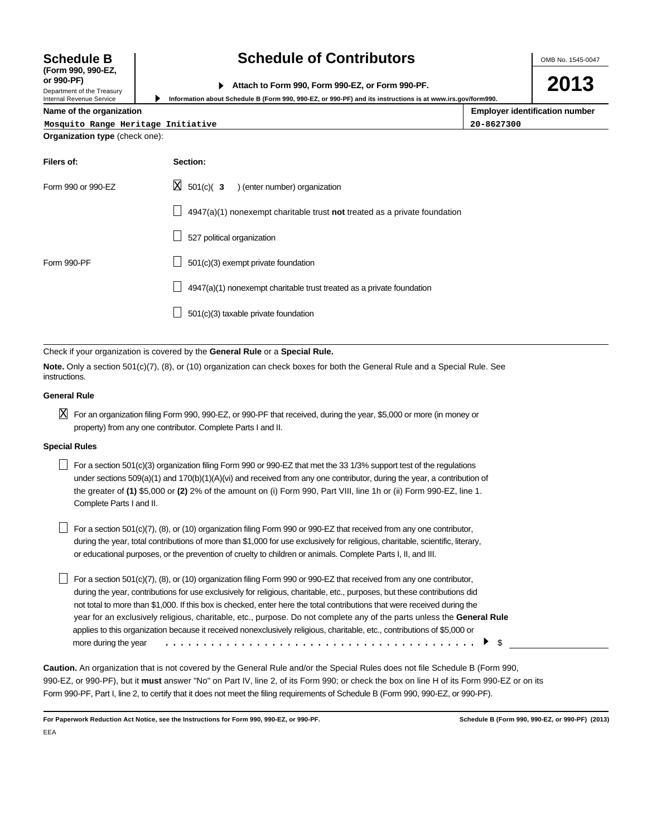| <b>Schedule B</b><br>(Form 990, 990-EZ,                              | <b>Schedule of Contributors</b><br>Attach to Form 990, Form 990-EZ, or Form 990-PF.<br>Information about Schedule B (Form 990, 990-EZ, or 990-PF) and its instructions is at www.irs.gov/form990. |  |  |  |  |  |  |
|----------------------------------------------------------------------|---------------------------------------------------------------------------------------------------------------------------------------------------------------------------------------------------|--|--|--|--|--|--|
| or 990-PF)<br>Department of the Treasury<br>Internal Revenue Service |                                                                                                                                                                                                   |  |  |  |  |  |  |
| <b>Employer identification number</b><br>Name of the organization    |                                                                                                                                                                                                   |  |  |  |  |  |  |
| Mosquito Range Heritage Initiative                                   | 20-8627300                                                                                                                                                                                        |  |  |  |  |  |  |
| <b>Organization type (check one):</b>                                |                                                                                                                                                                                                   |  |  |  |  |  |  |
| Filers of:                                                           | Section:                                                                                                                                                                                          |  |  |  |  |  |  |
| Form 990 or 990-EZ                                                   | lхI<br>) (enter number) organization<br>$501(c)$ 3                                                                                                                                                |  |  |  |  |  |  |

| Form 990 or 990-EZ | $\boxtimes$ 501(c)( 3 ) (enter number) organization                              |
|--------------------|----------------------------------------------------------------------------------|
|                    | $\Box$ 4947(a)(1) nonexempt charitable trust not treated as a private foundation |
|                    | 527 political organization                                                       |
| Form 990-PF        | 501(c)(3) exempt private foundation                                              |
|                    | $\Box$ 4947(a)(1) nonexempt charitable trust treated as a private foundation     |
|                    | 501(c)(3) taxable private foundation                                             |
|                    |                                                                                  |

Check if your organization is covered by the **General Rule** or a **Special Rule.**

**Note.** Only a section 501(c)(7), (8), or (10) organization can check boxes for both the General Rule and a Special Rule. See instructions.

#### **General Rule**

 $\boxtimes$  For an organization filing Form 990, 990-EZ, or 990-PF that received, during the year, \$5,000 or more (in money or property) from any one contributor. Complete Parts I and II.

#### **Special Rules**

For a section 501(c)(3) organization filing Form 990 or 990-EZ that met the 33 1/3% support test of the regulations under sections 509(a)(1) and 170(b)(1)(A)(vi) and received from any one contributor, during the year, a contribution of the greater of **(1)** \$5,000 or **(2)** 2% of the amount on (i) Form 990, Part VIII, line 1h or (ii) Form 990-EZ, line 1. Complete Parts I and II.

 $\Box$  For a section 501(c)(7), (8), or (10) organization filing Form 990 or 990-EZ that received from any one contributor, during the year, total contributions of more than \$1,000 for use exclusively for religious, charitable, scientific, literary, or educational purposes, or the prevention of cruelty to children or animals. Complete Parts I, II, and III.

For a section 501(c)(7), (8), or (10) organization filing Form 990 or 990-EZ that received from any one contributor, during the year, contributions for use exclusively for religious, charitable, etc., purposes, but these contributions did not total to more than \$1,000. If this box is checked, enter here the total contributions that were received during the year for an exclusively religious, charitable, etc., purpose. Do not complete any of the parts unless the **General Rule** applies to this organization because it received nonexclusively religious, charitable, etc., contributions of \$5,000 or more during the year \$ .........................................

**Caution.** An organization that is not covered by the General Rule and/or the Special Rules does not file Schedule B (Form 990, 990-EZ, or 990-PF), but it **must** answer "No" on Part IV, line 2, of its Form 990; or check the box on line H of its Form 990-EZ or on its Form 990-PF, Part I, line 2, to certify that it does not meet the filing requirements of Schedule B (Form 990, 990-EZ, or 990-PF).

**For Paperwork Reduction Act Notice, see the Instructions for Form 990, 990-EZ, or 990-PF. Schedule B (Form 990, 990-EZ, or 990-PF) (2013)** EEA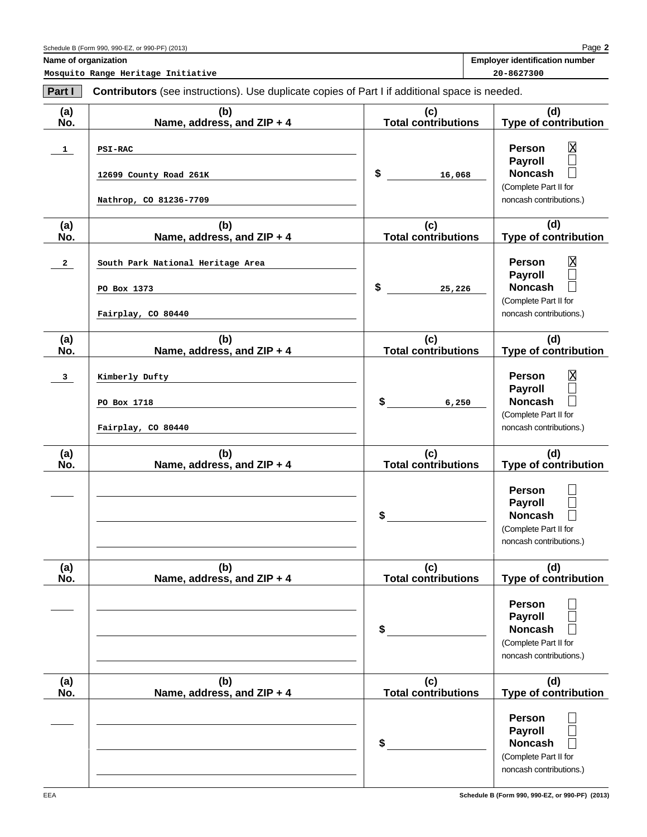**2** Page **Name of organization** 

**Mosquito Range Heritage Initiative 20-8627300**

| Part I       | <b>Contributors</b> (see instructions). Use duplicate copies of Part I if additional space is needed. |                                   |                                                                                                                                  |
|--------------|-------------------------------------------------------------------------------------------------------|-----------------------------------|----------------------------------------------------------------------------------------------------------------------------------|
| (a)<br>No.   | (b)<br>Name, address, and ZIP + 4                                                                     | (c)<br><b>Total contributions</b> | (d)<br><b>Type of contribution</b>                                                                                               |
| $\mathbf{1}$ | <b>PSI-RAC</b><br>12699 County Road 261K<br>Nathrop, CO 81236-7709                                    | \$<br>16,068                      | $\overline{\text{X}}$<br><b>Person</b><br><b>Payroll</b><br><b>Noncash</b><br>(Complete Part II for<br>noncash contributions.)   |
| (a)<br>No.   | (b)<br>Name, address, and ZIP + 4                                                                     | (c)<br><b>Total contributions</b> | (d)<br><b>Type of contribution</b>                                                                                               |
| $\mathbf{2}$ | South Park National Heritage Area<br>PO Box 1373<br>Fairplay, CO 80440                                | \$<br>25,226                      | $\overline{\mathrm{X}}$<br><b>Person</b><br><b>Payroll</b><br><b>Noncash</b><br>(Complete Part II for<br>noncash contributions.) |
| (a)<br>No.   | (b)<br>Name, address, and ZIP + 4                                                                     | (c)<br><b>Total contributions</b> | (d)<br><b>Type of contribution</b>                                                                                               |
| 3            | Kimberly Dufty<br>PO Box 1718<br>Fairplay, CO 80440                                                   | \$<br>6,250                       | $\overline{\text{X}}$<br><b>Person</b><br><b>Payroll</b><br><b>Noncash</b><br>(Complete Part II for<br>noncash contributions.)   |
| (a)<br>No.   | (b)<br>Name, address, and ZIP + 4                                                                     | (c)<br><b>Total contributions</b> | (d)<br><b>Type of contribution</b>                                                                                               |
|              |                                                                                                       | \$                                | Person<br><b>Payroll</b><br><b>Noncash</b><br>(Complete Part II for<br>noncash contributions.)                                   |
| (a)<br>No.   | (b)<br>Name, address, and ZIP + 4                                                                     | (c)<br><b>Total contributions</b> | (d)<br><b>Type of contribution</b>                                                                                               |
|              |                                                                                                       | \$                                | Person<br><b>Payroll</b><br><b>Noncash</b><br>(Complete Part II for<br>noncash contributions.)                                   |
| (a)<br>No.   | (b)<br>Name, address, and ZIP + 4                                                                     | (c)<br><b>Total contributions</b> | (d)<br><b>Type of contribution</b>                                                                                               |
|              |                                                                                                       | \$                                | <b>Person</b><br><b>Payroll</b><br><b>Noncash</b><br>(Complete Part II for<br>noncash contributions.)                            |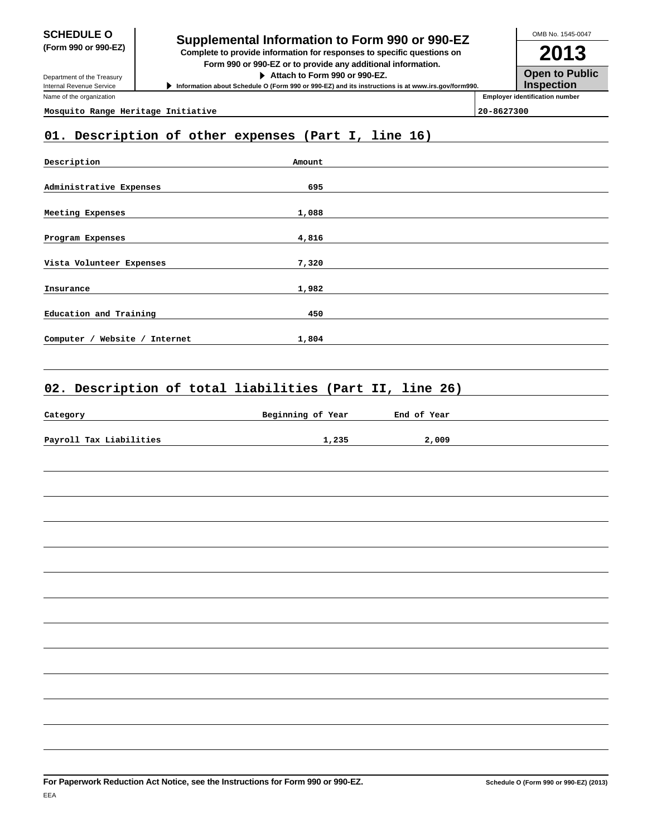Department of the Treasury Internal Revenue Service Name of the organization

# **SCHEDULE O**<br> **Supplemental Information to Form 990 or 990-EZ**<br> **Supplemental Information to Form 990 or 990-EZ**

**(Form 990 or 990-EZ) Complete to provide information for responses to specific questions on Form 990 or 990-EZ or to provide any additional information.**

**Attach to Form 990 or 990-EZ.**

**Information about Schedule O (Form 990 or 990-EZ) and its instructions is at www.irs.gov/form990.**

**2013 Open to Public Inspection Employer identification number** OMB No. 1545-0047

**Mosquito Range Heritage Initiative 20-8627300**

# **01. Description of other expenses (Part I, line 16)**

| Description                      | Amount |  |
|----------------------------------|--------|--|
|                                  |        |  |
| Administrative Expenses          | 695    |  |
|                                  |        |  |
| Meeting Expenses                 | 1,088  |  |
|                                  |        |  |
| Program Expenses                 | 4,816  |  |
|                                  |        |  |
| Vista Volunteer Expenses         | 7,320  |  |
|                                  |        |  |
| Insurance                        | 1,982  |  |
|                                  |        |  |
| Education and Training           | 450    |  |
|                                  |        |  |
| Website / Internet<br>Computer / | 1,804  |  |
|                                  |        |  |

# **02. Description of total liabilities (Part II, line 26)**

| Category                | Beginning of Year | End of Year |
|-------------------------|-------------------|-------------|
|                         |                   |             |
| Payroll Tax Liabilities | 1,235             | 2,009       |